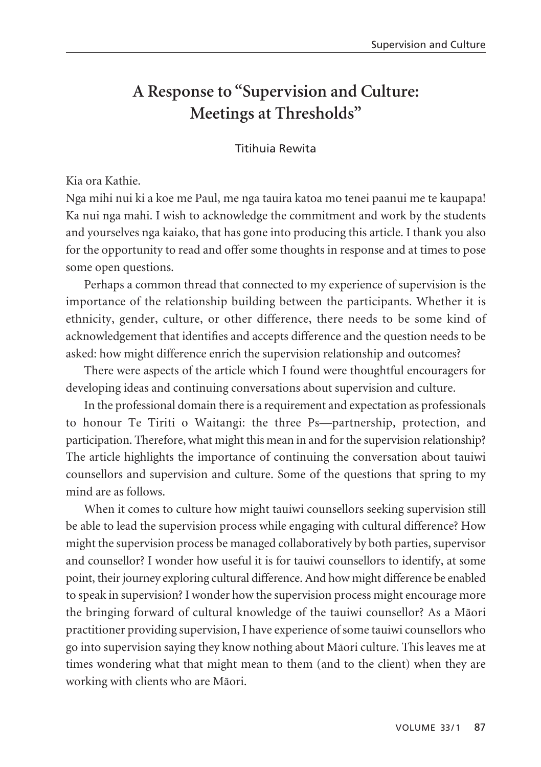# **A Response to "Supervision and Culture: Meetings at Thresholds"**

#### Titihuia Rewita

#### Kia ora Kathie.

Nga mihi nui ki a koe me Paul, me nga tauira katoa mo tenei paanui me te kaupapa! Ka nui nga mahi. I wish to acknowledge the commitment and work by the students and yourselves nga kaiako, that has gone into producing this article. I thank you also for the opportunity to read and offer some thoughts in response and at times to pose some open questions.

Perhaps a common thread that connected to my experience of supervision is the importance of the relationship building between the participants. Whether it is ethnicity, gender, culture, or other difference, there needs to be some kind of acknowledgement that identifies and accepts difference and the question needs to be asked: how might difference enrich the supervision relationship and outcomes?

There were aspects of the article which I found were thoughtful encouragers for developing ideas and continuing conversations about supervision and culture.

In the professional domain there is a requirement and expectation as professionals to honour Te Tiriti o Waitangi: the three Ps—partnership, protection, and participation. Therefore, what might this mean in and for the supervision relationship? The article highlights the importance of continuing the conversation about tauiwi counsellors and supervision and culture. Some of the questions that spring to my mind are as follows.

When it comes to culture how might tauiwi counsellors seeking supervision still be able to lead the supervision process while engaging with cultural difference? How might the supervision process be managed collaboratively by both parties, supervisor and counsellor? I wonder how useful it is for tauiwi counsellors to identify, at some point, their journey exploring cultural difference. And how might difference be enabled to speak in supervision? I wonder how the supervision process might encourage more the bringing forward of cultural knowledge of the tauiwi counsellor? As a Mäori practitioner providing supervision, I have experience of some tauiwi counsellors who go into supervision saying they know nothing about Mäori culture. This leaves me at times wondering what that might mean to them (and to the client) when they are working with clients who are Mäori.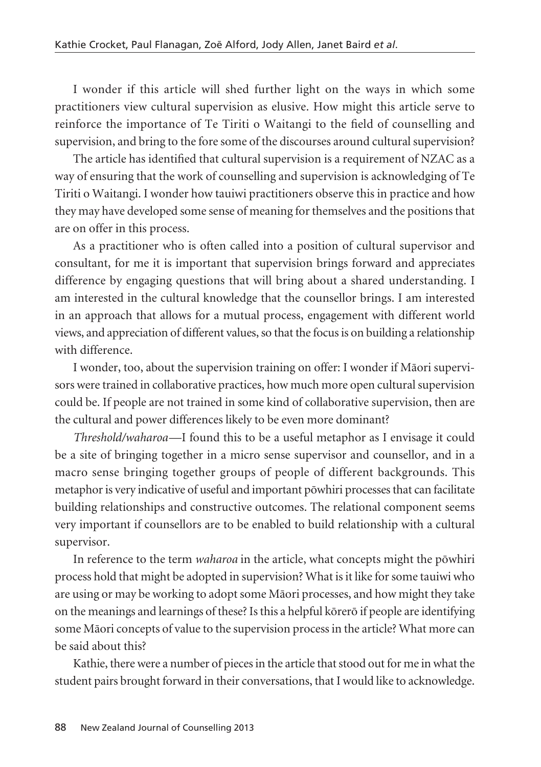I wonder if this article will shed further light on the ways in which some practitioners view cultural supervision as elusive. How might this article serve to reinforce the importance of Te Tiriti o Waitangi to the field of counselling and supervision, and bring to the fore some of the discourses around cultural supervision?

The article has identified that cultural supervision is a requirement of NZAC as a way of ensuring that the work of counselling and supervision is acknowledging of Te Tiriti o Waitangi. I wonder how tauiwi practitioners observe this in practice and how they may have developed some sense of meaning for themselves and the positions that are on offer in this process.

As a practitioner who is often called into a position of cultural supervisor and consultant, for me it is important that supervision brings forward and appreciates difference by engaging questions that will bring about a shared understanding. I am interested in the cultural knowledge that the counsellor brings. I am interested in an approach that allows for a mutual process, engagement with different world views, and appreciation of different values, so that the focus is on building a relationship with difference.

I wonder, too, about the supervision training on offer: I wonder if Mäori supervisors were trained in collaborative practices, how much more open cultural supervision could be. If people are not trained in some kind of collaborative supervision, then are the cultural and power differences likely to be even more dominant?

*Threshold/waharoa*—I found this to be a useful metaphor as I envisage it could be a site of bringing together in a micro sense supervisor and counsellor, and in a macro sense bringing together groups of people of different backgrounds. This metaphor is very indicative of useful and important pöwhiri processes that can facilitate building relationships and constructive outcomes. The relational component seems very important if counsellors are to be enabled to build relationship with a cultural supervisor.

In reference to the term *waharoa* in the article, what concepts might the pöwhiri process hold that might be adopted in supervision? What is it like for some tauiwi who are using or may be working to adopt some Mäori processes, and how might they take on the meanings and learnings of these? Is this a helpful körerö if people are identifying some Mäori concepts of value to the supervision process in the article? What more can be said about this?

Kathie, there were a number of pieces in the article that stood out for me in what the student pairs brought forward in their conversations, that I would like to acknowledge.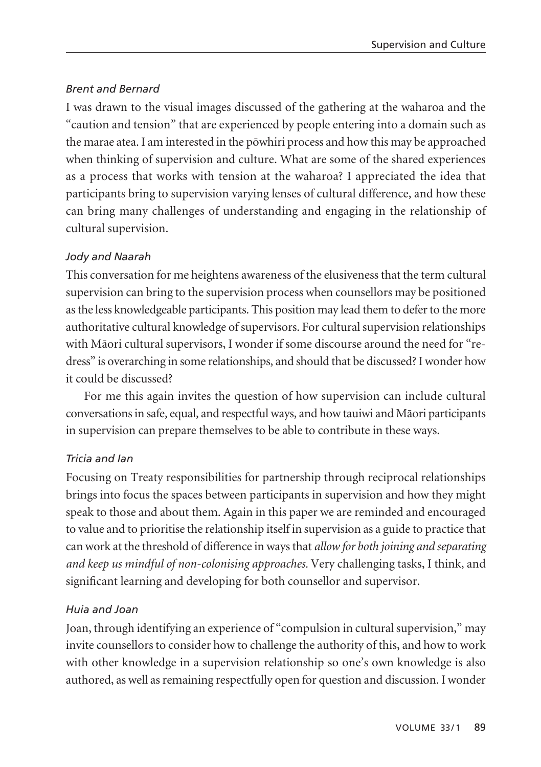#### *Brent and Bernard*

I was drawn to the visual images discussed of the gathering at the waharoa and the "caution and tension" that are experienced by people entering into a domain such as the marae atea. I am interested in the pöwhiri process and how this may be approached when thinking of supervision and culture. What are some of the shared experiences as a process that works with tension at the waharoa? I appreciated the idea that participants bring to supervision varying lenses of cultural difference, and how these can bring many challenges of understanding and engaging in the relationship of cultural supervision.

#### *Jody and Naarah*

This conversation for me heightens awareness of the elusiveness that the term cultural supervision can bring to the supervision process when counsellors may be positioned as the less knowledgeable participants. This position may lead them to defer to the more authoritative cultural knowledge of supervisors. For cultural supervision relationships with Mäori cultural supervisors, I wonder if some discourse around the need for "redress" is overarching in some relationships, and should that be discussed? I wonder how it could be discussed?

For me this again invites the question of how supervision can include cultural conversations in safe, equal, and respectful ways, and how tauiwi and Mäori participants in supervision can prepare themselves to be able to contribute in these ways.

# *Tricia and Ian*

Focusing on Treaty responsibilities for partnership through reciprocal relationships brings into focus the spaces between participants in supervision and how they might speak to those and about them. Again in this paper we are reminded and encouraged to value and to prioritise the relationship itself in supervision as a guide to practice that can work at the threshold of difference in ways that *allow for both joining and separating and keep us mindful of non-colonising approaches.* Very challenging tasks, I think, and significant learning and developing for both counsellor and supervisor.

# *Huia and Joan*

Joan, through identifying an experience of "compulsion in cultural supervision," may invite counsellors to consider how to challenge the authority of this, and how to work with other knowledge in a supervision relationship so one's own knowledge is also authored, as well as remaining respectfully open for question and discussion. I wonder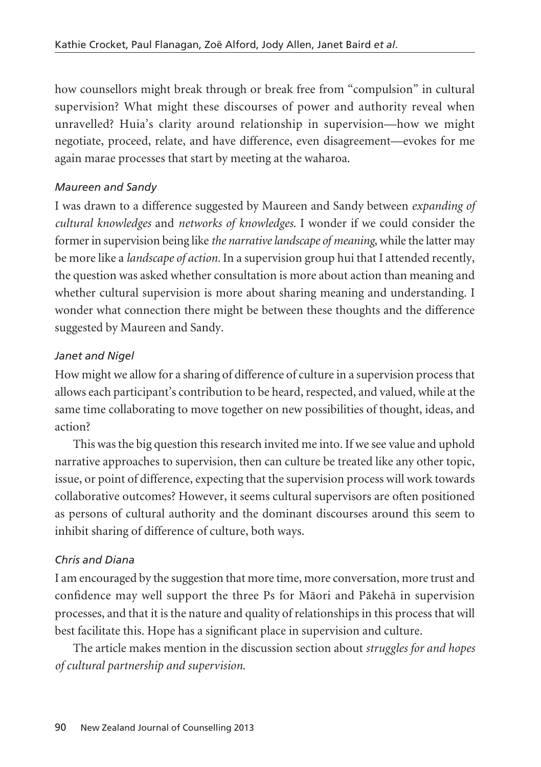how counsellors might break through or break free from "compulsion" in cultural supervision? What might these discourses of power and authority reveal when unravelled? Huia's clarity around relationship in supervision—how we might negotiate, proceed, relate, and have difference, even disagreement—evokes for me again marae processes that start by meeting at the waharoa.

#### *Maureen and Sandy*

I was drawn to a difference suggested by Maureen and Sandy between *expanding of cultural knowledges* and *networks of knowledges.* I wonder if we could consider the former in supervision being like *the narrative landscape of meaning*, while the latter may be more like a *landscape of action.* In a supervision group hui that I attended recently, the question was asked whether consultation is more about action than meaning and whether cultural supervision is more about sharing meaning and understanding. I wonder what connection there might be between these thoughts and the difference suggested by Maureen and Sandy.

# *Janet and Nigel*

How might we allow for a sharing of difference of culture in a supervision process that allows each participant's contribution to be heard, respected, and valued, while at the same time collaborating to move together on new possibilities of thought, ideas, and action?

This was the big question this research invited me into. If we see value and uphold narrative approaches to supervision, then can culture be treated like any other topic, issue, or point of difference, expecting that the supervision process will work towards collaborative outcomes? However, it seems cultural supervisors are often positioned as persons of cultural authority and the dominant discourses around this seem to inhibit sharing of difference of culture, both ways.

# *Chris and Diana*

I am encouraged by the suggestion that more time, more conversation, more trust and confidence may well support the three Ps for Mäori and Päkehä in supervision processes, and that it is the nature and quality of relationships in this process that will best facilitate this. Hope has a significant place in supervision and culture.

The article makes mention in the discussion section about *struggles for and hopes of cultural partnership and supervision*.